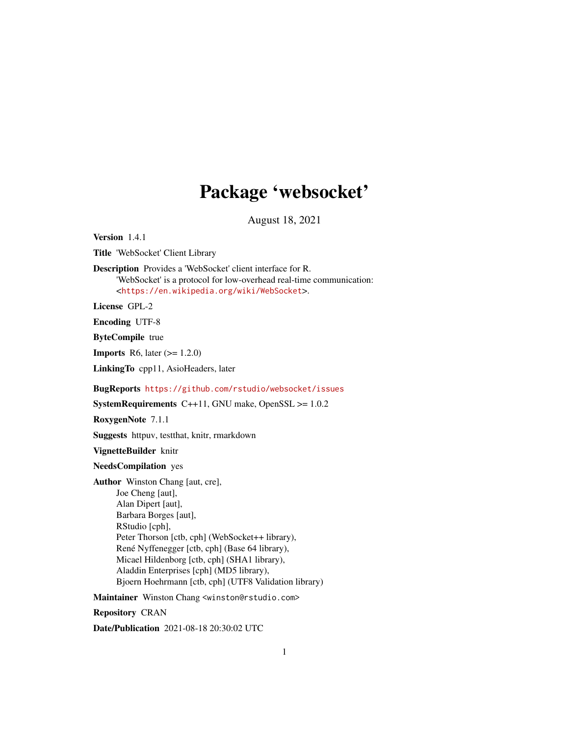## Package 'websocket'

August 18, 2021

Version 1.4.1

Title 'WebSocket' Client Library

Description Provides a 'WebSocket' client interface for R. 'WebSocket' is a protocol for low-overhead real-time communication: <<https://en.wikipedia.org/wiki/WebSocket>>.

License GPL-2

Encoding UTF-8

ByteCompile true

**Imports** R6, later  $(>= 1.2.0)$ 

LinkingTo cpp11, AsioHeaders, later

BugReports <https://github.com/rstudio/websocket/issues>

**SystemRequirements** C++11, GNU make, OpenSSL  $>= 1.0.2$ 

RoxygenNote 7.1.1

Suggests httpuv, testthat, knitr, rmarkdown

VignetteBuilder knitr

NeedsCompilation yes

Author Winston Chang [aut, cre], Joe Cheng [aut], Alan Dipert [aut], Barbara Borges [aut], RStudio [cph], Peter Thorson [ctb, cph] (WebSocket++ library), René Nyffenegger [ctb, cph] (Base 64 library), Micael Hildenborg [ctb, cph] (SHA1 library), Aladdin Enterprises [cph] (MD5 library), Bjoern Hoehrmann [ctb, cph] (UTF8 Validation library)

Maintainer Winston Chang <winston@rstudio.com>

Repository CRAN

Date/Publication 2021-08-18 20:30:02 UTC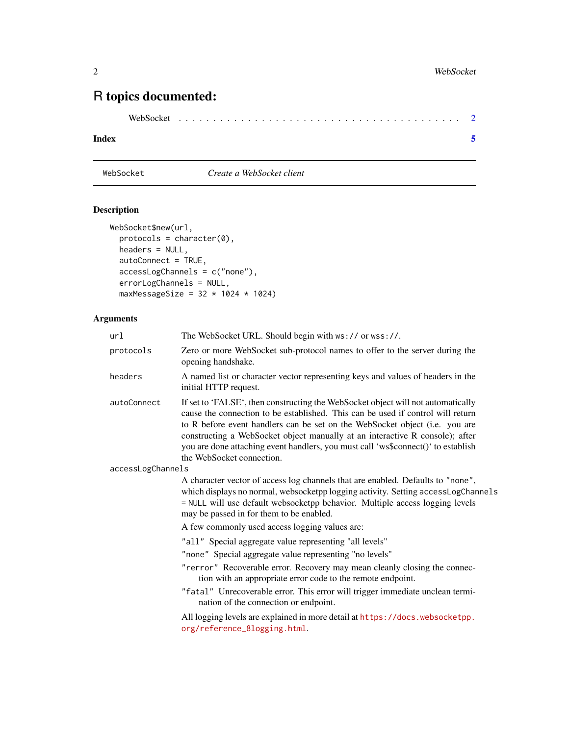### <span id="page-1-0"></span>R topics documented:

| WebSocket |  |
|-----------|--|
|-----------|--|

#### **Index** [5](#page-4-0). The second state of the second state of the second state of the second state of the second state of the second state of the second state of the second state of the second state of the second state of the second

#### WebSocket *Create a WebSocket client*

#### Description

```
WebSocket$new(url,
 protocols = character(0),headers = NULL,
 autoConnect = TRUE,
 accessLogChannels = c("none"),
 errorLogChannels = NULL,
 maxMessageSize = 32 \times 1024 \times 1024)
```
#### Arguments

| url               | The WebSocket URL. Should begin with ws:// or wss://.                                                                                                                                                                                                                                                                                                                                                                                                |
|-------------------|------------------------------------------------------------------------------------------------------------------------------------------------------------------------------------------------------------------------------------------------------------------------------------------------------------------------------------------------------------------------------------------------------------------------------------------------------|
| protocols         | Zero or more WebSocket sub-protocol names to offer to the server during the<br>opening handshake.                                                                                                                                                                                                                                                                                                                                                    |
| headers           | A named list or character vector representing keys and values of headers in the<br>initial HTTP request.                                                                                                                                                                                                                                                                                                                                             |
| autoConnect       | If set to 'FALSE', then constructing the WebSocket object will not automatically<br>cause the connection to be established. This can be used if control will return<br>to R before event handlers can be set on the WebSocket object (i.e. you are<br>constructing a WebSocket object manually at an interactive R console); after<br>you are done attaching event handlers, you must call 'ws\$connect()' to establish<br>the WebSocket connection. |
| accessLogChannels |                                                                                                                                                                                                                                                                                                                                                                                                                                                      |
|                   | A character vector of access log channels that are enabled. Defaults to "none",<br>which displays no normal, websocketpp logging activity. Setting accessLogChannels<br>= NULL will use default websocketpp behavior. Multiple access logging levels<br>may be passed in for them to be enabled.<br>A few commonly used access logging values are:                                                                                                   |
|                   | "all" Special aggregate value representing "all levels"<br>"none" Special aggregate value representing "no levels"                                                                                                                                                                                                                                                                                                                                   |
|                   | "rerror" Recoverable error. Recovery may mean cleanly closing the connec-<br>tion with an appropriate error code to the remote endpoint.                                                                                                                                                                                                                                                                                                             |
|                   | "fatal" Unrecoverable error. This error will trigger immediate unclean termi-<br>nation of the connection or endpoint.                                                                                                                                                                                                                                                                                                                               |
|                   | All logging levels are explained in more detail at https://docs.websocketpp.<br>org/reference_8logging.html.                                                                                                                                                                                                                                                                                                                                         |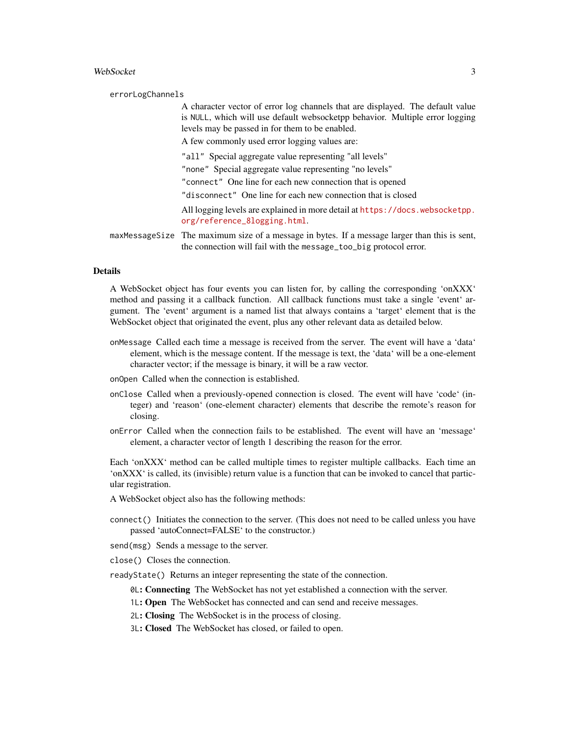#### WebSocket 3 3

| errorLogChannels |                                                                                                                                                                                                                   |
|------------------|-------------------------------------------------------------------------------------------------------------------------------------------------------------------------------------------------------------------|
|                  | A character vector of error log channels that are displayed. The default value<br>is NULL, which will use default websocketpp behavior. Multiple error logging<br>levels may be passed in for them to be enabled. |
|                  | A few commonly used error logging values are:                                                                                                                                                                     |
|                  | "all" Special aggregate value representing "all levels"                                                                                                                                                           |
|                  | "none" Special aggregate value representing "no levels"                                                                                                                                                           |
|                  | "connect" One line for each new connection that is opened                                                                                                                                                         |
|                  | "disconnect" One line for each new connection that is closed                                                                                                                                                      |
|                  | All logging levels are explained in more detail at https://docs.websocketpp.<br>org/reference_8logging.html.                                                                                                      |
|                  | maxMessageSize The maximum size of a message in bytes. If a message larger than this is sent,<br>the connection will fail with the message_too_big protocol error.                                                |

#### Details

A WebSocket object has four events you can listen for, by calling the corresponding 'onXXX' method and passing it a callback function. All callback functions must take a single 'event' argument. The 'event' argument is a named list that always contains a 'target' element that is the WebSocket object that originated the event, plus any other relevant data as detailed below.

- onMessage Called each time a message is received from the server. The event will have a 'data' element, which is the message content. If the message is text, the 'data' will be a one-element character vector; if the message is binary, it will be a raw vector.
- onOpen Called when the connection is established.
- onClose Called when a previously-opened connection is closed. The event will have 'code' (integer) and 'reason' (one-element character) elements that describe the remote's reason for closing.
- onError Called when the connection fails to be established. The event will have an 'message' element, a character vector of length 1 describing the reason for the error.

Each 'onXXX' method can be called multiple times to register multiple callbacks. Each time an 'onXXX' is called, its (invisible) return value is a function that can be invoked to cancel that particular registration.

- A WebSocket object also has the following methods:
- connect() Initiates the connection to the server. (This does not need to be called unless you have passed 'autoConnect=FALSE' to the constructor.)
- send(msg) Sends a message to the server.
- close() Closes the connection.
- readyState() Returns an integer representing the state of the connection.
	- 0L: Connecting The WebSocket has not yet established a connection with the server.
	- 1L: Open The WebSocket has connected and can send and receive messages.
	- 2L: Closing The WebSocket is in the process of closing.
	- 3L: Closed The WebSocket has closed, or failed to open.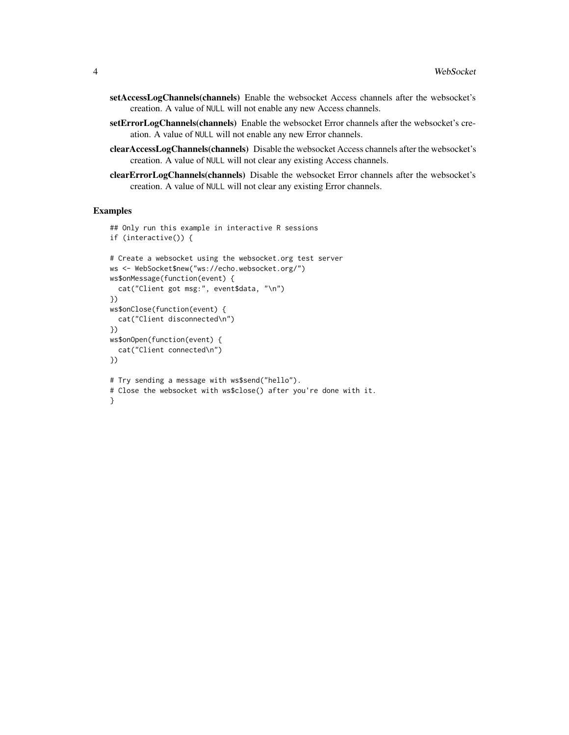- setAccessLogChannels(channels) Enable the websocket Access channels after the websocket's creation. A value of NULL will not enable any new Access channels.
- setErrorLogChannels(channels) Enable the websocket Error channels after the websocket's creation. A value of NULL will not enable any new Error channels.
- clearAccessLogChannels(channels) Disable the websocket Access channels after the websocket's creation. A value of NULL will not clear any existing Access channels.
- clearErrorLogChannels(channels) Disable the websocket Error channels after the websocket's creation. A value of NULL will not clear any existing Error channels.

#### Examples

```
## Only run this example in interactive R sessions
if (interactive()) {
# Create a websocket using the websocket.org test server
ws <- WebSocket$new("ws://echo.websocket.org/")
ws$onMessage(function(event) {
 cat("Client got msg:", event$data, "\n")
})
ws$onClose(function(event) {
 cat("Client disconnected\n")
})
ws$onOpen(function(event) {
 cat("Client connected\n")
})
# Try sending a message with ws$send("hello").
# Close the websocket with ws$close() after you're done with it.
}
```